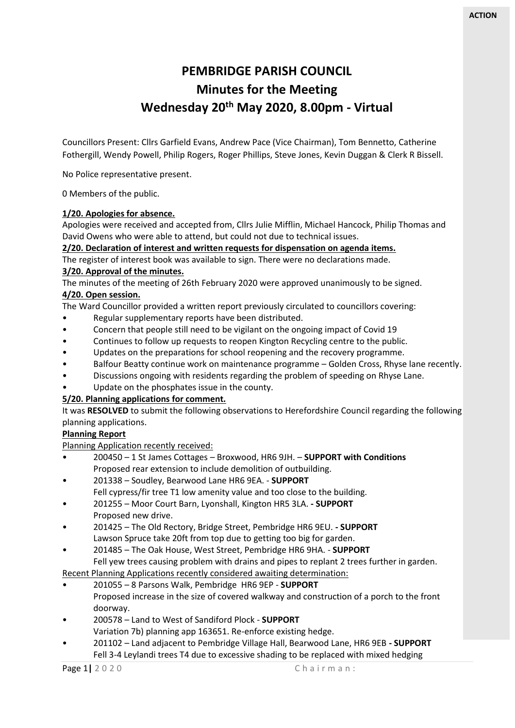# **PEMBRIDGE PARISH COUNCIL Minutes for the Meeting Wednesday 20th May 2020, 8.00pm - Virtual**

Councillors Present: Cllrs Garfield Evans, Andrew Pace (Vice Chairman), Tom Bennetto, Catherine Fothergill, Wendy Powell, Philip Rogers, Roger Phillips, Steve Jones, Kevin Duggan & Clerk R Bissell.

No Police representative present.

0 Members of the public.

#### **1/20. Apologies for absence.**

Apologies were received and accepted from, Cllrs Julie Mifflin, Michael Hancock, Philip Thomas and David Owens who were able to attend, but could not due to technical issues.

#### **2/20. Declaration of interest and written requests for dispensation on agenda items.**

The register of interest book was available to sign. There were no declarations made. **3/20. Approval of the minutes.** 

The minutes of the meeting of 26th February 2020 were approved unanimously to be signed. **4/20. Open session.** 

The Ward Councillor provided a written report previously circulated to councillors covering:

- Regular supplementary reports have been distributed.
- Concern that people still need to be vigilant on the ongoing impact of Covid 19
- Continues to follow up requests to reopen Kington Recycling centre to the public.
- Updates on the preparations for school reopening and the recovery programme.
- Balfour Beatty continue work on maintenance programme Golden Cross, Rhyse lane recently.
- Discussions ongoing with residents regarding the problem of speeding on Rhyse Lane.
- Update on the phosphates issue in the county.

# **5/20. Planning applications for comment.**

It was **RESOLVED** to submit the following observations to Herefordshire Council regarding the following planning applications.

# **Planning Report**

Planning Application recently received:

- 200450 1 St James Cottages Broxwood, HR6 9JH. **SUPPORT with Conditions** Proposed rear extension to include demolition of outbuilding.
- 201338 Soudley, Bearwood Lane HR6 9EA. **SUPPORT** Fell cypress/fir tree T1 low amenity value and too close to the building.
- 201255 Moor Court Barn, Lyonshall, Kington HR5 3LA. **- SUPPORT** Proposed new drive.
- 201425 The Old Rectory, Bridge Street, Pembridge HR6 9EU. **- SUPPORT** Lawson Spruce take 20ft from top due to getting too big for garden.
- 201485 The Oak House, West Street, Pembridge HR6 9HA. **SUPPORT**  Fell yew trees causing problem with drains and pipes to replant 2 trees further in garden.

Recent Planning Applications recently considered awaiting determination:

- 201055 8 Parsons Walk, Pembridge HR6 9EP **SUPPORT** Proposed increase in the size of covered walkway and construction of a porch to the front doorway.
- 200578 Land to West of Sandiford Plock **SUPPORT** Variation 7b) planning app 163651. Re-enforce existing hedge.
- 201102 Land adjacent to Pembridge Village Hall, Bearwood Lane, HR6 9EB **- SUPPORT** Fell 3-4 Leylandi trees T4 due to excessive shading to be replaced with mixed hedging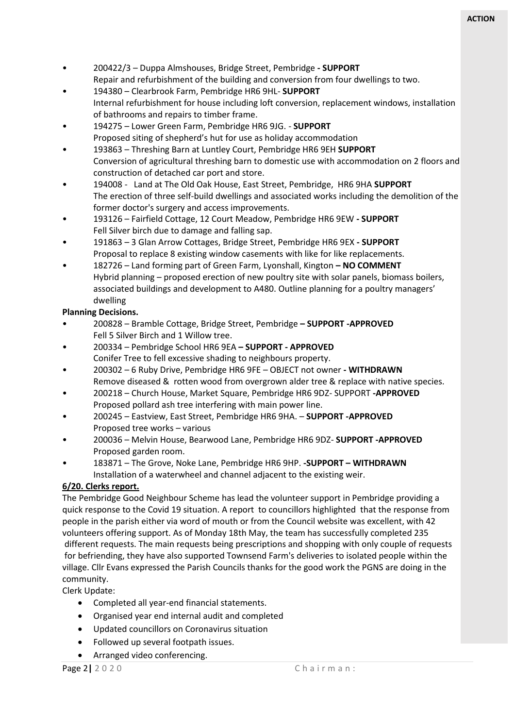- 200422/3 Duppa Almshouses, Bridge Street, Pembridge **- SUPPORT**  Repair and refurbishment of the building and conversion from four dwellings to two.
- 194380 Clearbrook Farm, Pembridge HR6 9HL- **SUPPORT** Internal refurbishment for house including loft conversion, replacement windows, installation of bathrooms and repairs to timber frame.
- 194275 Lower Green Farm, Pembridge HR6 9JG. **SUPPORT**  Proposed siting of shepherd's hut for use as holiday accommodation
- 193863 Threshing Barn at Luntley Court, Pembridge HR6 9EH **SUPPORT**  Conversion of agricultural threshing barn to domestic use with accommodation on 2 floors and construction of detached car port and store.
- 194008 Land at The Old Oak House, East Street, Pembridge, HR6 9HA **SUPPORT** The erection of three self-build dwellings and associated works including the demolition of the former doctor's surgery and access improvements.
- 193126 Fairfield Cottage, 12 Court Meadow, Pembridge HR6 9EW **- SUPPORT**  Fell Silver birch due to damage and falling sap.
- 191863 3 Glan Arrow Cottages, Bridge Street, Pembridge HR6 9EX **- SUPPORT** Proposal to replace 8 existing window casements with like for like replacements.
- 182726 Land forming part of Green Farm, Lyonshall, Kington **– NO COMMENT** Hybrid planning – proposed erection of new poultry site with solar panels, biomass boilers, associated buildings and development to A480. Outline planning for a poultry managers' dwelling

# **Planning Decisions.**

- 200828 Bramble Cottage, Bridge Street, Pembridge **– SUPPORT -APPROVED** Fell 5 Silver Birch and 1 Willow tree.
- 200334 Pembridge School HR6 9EA **– SUPPORT - APPROVED** Conifer Tree to fell excessive shading to neighbours property.
- 200302 6 Ruby Drive, Pembridge HR6 9FE OBJECT not owner **- WITHDRAWN** Remove diseased & rotten wood from overgrown alder tree & replace with native species.
- 200218 Church House, Market Square, Pembridge HR6 9DZ- SUPPORT **-APPROVED** Proposed pollard ash tree interfering with main power line.
- 200245 Eastview, East Street, Pembridge HR6 9HA. **SUPPORT -APPROVED** Proposed tree works – various
- 200036 Melvin House, Bearwood Lane, Pembridge HR6 9DZ- **SUPPORT -APPROVED** Proposed garden room.
- 183871 The Grove, Noke Lane, Pembridge HR6 9HP. **-SUPPORT – WITHDRAWN** Installation of a waterwheel and channel adjacent to the existing weir.

# **6/20. Clerks report.**

The Pembridge Good Neighbour Scheme has lead the volunteer support in Pembridge providing a quick response to the Covid 19 situation. A report to councillors highlighted that the response from people in the parish either via word of mouth or from the Council website was excellent, with 42 volunteers offering support. As of Monday 18th May, the team has successfully completed 235 different requests. The main requests being prescriptions and shopping with only couple of requests for befriending, they have also supported Townsend Farm's deliveries to isolated people within the village. Cllr Evans expressed the Parish Councils thanks for the good work the PGNS are doing in the community.

Clerk Update:

- Completed all year-end financial statements.
- Organised year end internal audit and completed
- Updated councillors on Coronavirus situation
- Followed up several footpath issues.
- Arranged video conferencing.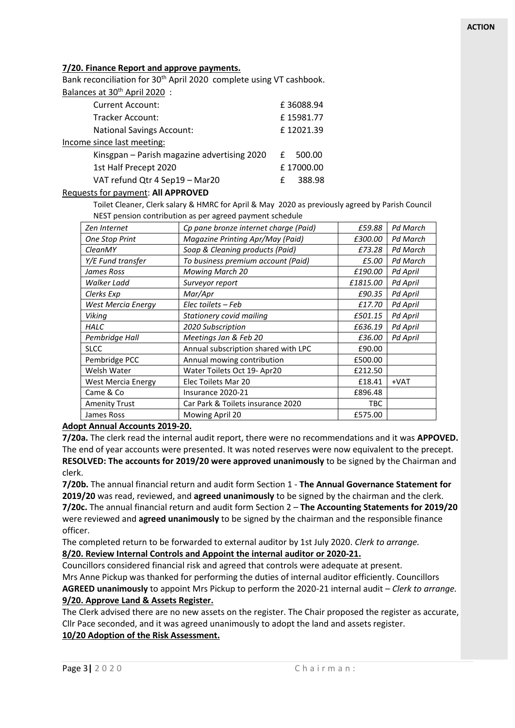#### **7/20. Finance Report and approve payments.**

Bank reconciliation for 30<sup>th</sup> April 2020 complete using VT cashbook.

| Balances at 30 <sup>th</sup> April 2020: |  |  |  |
|------------------------------------------|--|--|--|
|                                          |  |  |  |

| <b>Current Account:</b>                     |   | £36088.94 |  |
|---------------------------------------------|---|-----------|--|
| Tracker Account:                            |   | £15981.77 |  |
| <b>National Savings Account:</b>            |   | £12021.39 |  |
| Income since last meeting:                  |   |           |  |
| Kinsgpan – Parish magazine advertising 2020 | £ | 500.00    |  |
| 1st Half Precept 2020                       |   | £17000.00 |  |
| VAT refund Qtr 4 Sep19 - Mar20              | £ | 388.98    |  |
|                                             |   |           |  |

#### Requests for payment: **All APPROVED**

Toilet Cleaner, Clerk salary & HMRC for April & May 2020 as previously agreed by Parish Council NEST pension contribution as per agreed payment schedule

| Zen Internet              | Cp pane bronze internet charge (Paid) | £59.88     | <b>Pd March</b> |
|---------------------------|---------------------------------------|------------|-----------------|
| <b>One Stop Print</b>     | Magazine Printing Apr/May (Paid)      | £300.00    | Pd March        |
| <b>CleanMY</b>            | Soap & Cleaning products (Paid)       | £73.28     | Pd March        |
| Y/E Fund transfer         | To business premium account (Paid)    | £5.00      | Pd March        |
| James Ross                | <b>Mowing March 20</b>                | £190.00    | Pd April        |
| Walker Ladd               | Surveyor report                       | £1815.00   | Pd April        |
| Clerks Exp                | Mar/Apr                               | £90.35     | Pd April        |
| West Mercia Energy        | Elec toilets – Feb                    | £17.70     | Pd April        |
| Viking                    | Stationery covid mailing              | £501.15    | Pd April        |
| HALC                      | 2020 Subscription                     | £636.19    | Pd April        |
| Pembridge Hall            | Meetings Jan & Feb 20                 | £36.00     | Pd April        |
| <b>SLCC</b>               | Annual subscription shared with LPC   | £90.00     |                 |
| Pembridge PCC             | Annual mowing contribution            | £500.00    |                 |
| Welsh Water               | Water Toilets Oct 19- Apr20           | £212.50    |                 |
| <b>West Mercia Energy</b> | Elec Toilets Mar 20                   | £18.41     | +VAT            |
| Came & Co                 | Insurance 2020-21                     | £896.48    |                 |
| <b>Amenity Trust</b>      | Car Park & Toilets insurance 2020     | <b>TBC</b> |                 |
| James Ross                | Mowing April 20                       | £575.00    |                 |

#### **Adopt Annual Accounts 2019-20.**

**7/20a.** The clerk read the internal audit report, there were no recommendations and it was **APPOVED.** The end of year accounts were presented. It was noted reserves were now equivalent to the precept. **RESOLVED: The accounts for 2019/20 were approved unanimously** to be signed by the Chairman and clerk.

**7/20b.** The annual financial return and audit form Section 1 - **The Annual Governance Statement for 2019/20** was read, reviewed, and **agreed unanimously** to be signed by the chairman and the clerk. **7/20c.** The annual financial return and audit form Section 2 – **The Accounting Statements for 2019/20** were reviewed and **agreed unanimously** to be signed by the chairman and the responsible finance officer.

The completed return to be forwarded to external auditor by 1st July 2020. *Clerk to arrange.* **8/20. Review Internal Controls and Appoint the internal auditor or 2020-21.** 

Councillors considered financial risk and agreed that controls were adequate at present. Mrs Anne Pickup was thanked for performing the duties of internal auditor efficiently. Councillors **AGREED unanimously** to appoint Mrs Pickup to perform the 2020-21 internal audit – *Clerk to arrange.* **9/20. Approve Land & Assets Register.** 

The Clerk advised there are no new assets on the register. The Chair proposed the register as accurate, Cllr Pace seconded, and it was agreed unanimously to adopt the land and assets register. **10/20 Adoption of the Risk Assessment.**